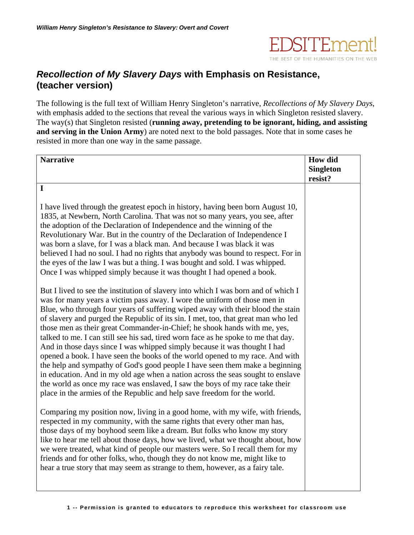

# *Recollection of My Slavery Days* **with Emphasis on Resistance, (teacher version)**

The following is the full text of William Henry Singleton's narrative, *Recollections of My Slavery Days*, with emphasis added to the sections that reveal the various ways in which Singleton resisted slavery. The way(s) that Singleton resisted (**running away, pretending to be ignorant, hiding, and assisting and serving in the Union Army**) are noted next to the bold passages. Note that in some cases he resisted in more than one way in the same passage.

| <b>Narrative</b>                                                                                                                                                                                                                                                                                                                                                                                                                                                                                                                                                                                                                                                                                                                                                                                                                                                                                                                                                                                        | <b>How did</b>   |
|---------------------------------------------------------------------------------------------------------------------------------------------------------------------------------------------------------------------------------------------------------------------------------------------------------------------------------------------------------------------------------------------------------------------------------------------------------------------------------------------------------------------------------------------------------------------------------------------------------------------------------------------------------------------------------------------------------------------------------------------------------------------------------------------------------------------------------------------------------------------------------------------------------------------------------------------------------------------------------------------------------|------------------|
|                                                                                                                                                                                                                                                                                                                                                                                                                                                                                                                                                                                                                                                                                                                                                                                                                                                                                                                                                                                                         | <b>Singleton</b> |
|                                                                                                                                                                                                                                                                                                                                                                                                                                                                                                                                                                                                                                                                                                                                                                                                                                                                                                                                                                                                         | resist?          |
| $\mathbf I$                                                                                                                                                                                                                                                                                                                                                                                                                                                                                                                                                                                                                                                                                                                                                                                                                                                                                                                                                                                             |                  |
| I have lived through the greatest epoch in history, having been born August 10,<br>1835, at Newbern, North Carolina. That was not so many years, you see, after<br>the adoption of the Declaration of Independence and the winning of the<br>Revolutionary War. But in the country of the Declaration of Independence I<br>was born a slave, for I was a black man. And because I was black it was<br>believed I had no soul. I had no rights that anybody was bound to respect. For in<br>the eyes of the law I was but a thing. I was bought and sold. I was whipped.<br>Once I was whipped simply because it was thought I had opened a book.                                                                                                                                                                                                                                                                                                                                                        |                  |
| But I lived to see the institution of slavery into which I was born and of which I<br>was for many years a victim pass away. I wore the uniform of those men in<br>Blue, who through four years of suffering wiped away with their blood the stain<br>of slavery and purged the Republic of its sin. I met, too, that great man who led<br>those men as their great Commander-in-Chief; he shook hands with me, yes,<br>talked to me. I can still see his sad, tired worn face as he spoke to me that day.<br>And in those days since I was whipped simply because it was thought I had<br>opened a book. I have seen the books of the world opened to my race. And with<br>the help and sympathy of God's good people I have seen them make a beginning<br>in education. And in my old age when a nation across the seas sought to enslave<br>the world as once my race was enslaved, I saw the boys of my race take their<br>place in the armies of the Republic and help save freedom for the world. |                  |
| Comparing my position now, living in a good home, with my wife, with friends,<br>respected in my community, with the same rights that every other man has,<br>those days of my boyhood seem like a dream. But folks who know my story<br>like to hear me tell about those days, how we lived, what we thought about, how<br>we were treated, what kind of people our masters were. So I recall them for my<br>friends and for other folks, who, though they do not know me, might like to<br>hear a true story that may seem as strange to them, however, as a fairy tale.                                                                                                                                                                                                                                                                                                                                                                                                                              |                  |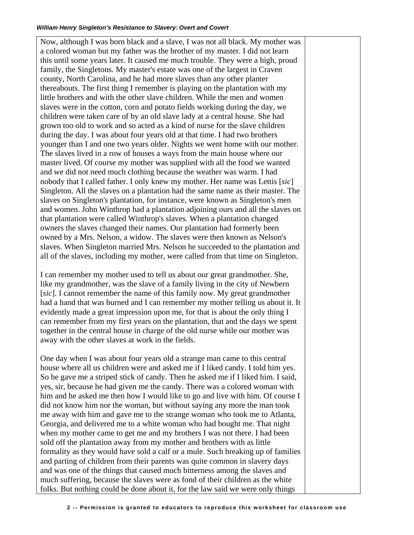Now, although I was born black and a slave, I was not all black. My mother was a colored woman but my father was the brother of my master. I did not learn this until some years later. It caused me much trouble. They were a high, proud family, the Singletons. My master's estate was one of the largest in Craven county, North Carolina, and he had more slaves than any other planter thereabouts. The first thing I remember is playing on the plantation with my little brothers and with the other slave children. While the men and women slaves were in the cotton, corn and potato fields working during the day, we children were taken care of by an old slave lady at a central house. She had grown too old to work and so acted as a kind of nurse for the slave children during the day. I was about four years old at that time. I had two brothers younger than I and one two years older. Nights we went home with our mother. The slaves lived in a row of houses a ways from the main house where our master lived. Of course my mother was supplied with all the food we wanted and we did not need much clothing because the weather was warm. I had nobody that I called father. I only knew my mother. Her name was Lettis [*sic*] Singleton. All the slaves on a plantation had the same name as their master. The slaves on Singleton's plantation, for instance, were known as Singleton's men and women. John Winthrop had a plantation adjoining ours and all the slaves on that plantation were called Winthrop's slaves. When a plantation changed owners the slaves changed their names. Our plantation had formerly been owned by a Mrs. Nelson, a widow. The slaves were then known as Nelson's slaves. When Singleton married Mrs. Nelson he succeeded to the plantation and all of the slaves, including my mother, were called from that time on Singleton.

I can remember my mother used to tell us about our great grandmother. She, like my grandmother, was the slave of a family living in the city of Newbern [*sic*]. I cannot remember the name of this family now. My great grandmother had a hand that was burned and I can remember my mother telling us about it. It evidently made a great impression upon me, for that is about the only thing I can remember from my first years on the plantation, that and the days we spent together in the central house in charge of the old nurse while our mother was away with the other slaves at work in the fields.

One day when I was about four years old a strange man came to this central house where all us children were and asked me if I liked candy. I told him yes. So he gave me a striped stick of candy. Then he asked me if I liked him. I said, yes, sir, because he had given me the candy. There was a colored woman with him and he asked me then how I would like to go and live with him. Of course I did not know him nor the woman, but without saying any more the man took me away with him and gave me to the strange woman who took me to Atlanta, Georgia, and delivered me to a white woman who had bought me. That night when my mother came to get me and my brothers I was not there. I had been sold off the plantation away from my mother and brothers with as little formality as they would have sold a calf or a mule. Such breaking up of families and parting of children from their parents was quite common in slavery days and was one of the things that caused much bitterness among the slaves and much suffering, because the slaves were as fond of their children as the white folks. But nothing could be done about it, for the law said we were only things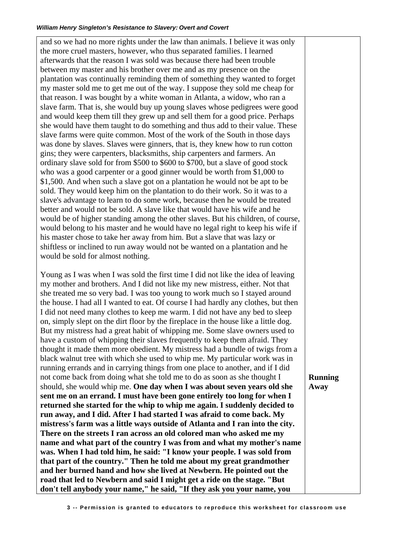and so we had no more rights under the law than animals. I believe it was only the more cruel masters, however, who thus separated families. I learned afterwards that the reason I was sold was because there had been trouble between my master and his brother over me and as my presence on the plantation was continually reminding them of something they wanted to forget my master sold me to get me out of the way. I suppose they sold me cheap for that reason. I was bought by a white woman in Atlanta, a widow, who ran a slave farm. That is, she would buy up young slaves whose pedigrees were good and would keep them till they grew up and sell them for a good price. Perhaps she would have them taught to do something and thus add to their value. These slave farms were quite common. Most of the work of the South in those days was done by slaves. Slaves were ginners, that is, they knew how to run cotton gins; they were carpenters, blacksmiths, ship carpenters and farmers. An ordinary slave sold for from \$500 to \$600 to \$700, but a slave of good stock who was a good carpenter or a good ginner would be worth from \$1,000 to \$1,500. And when such a slave got on a plantation he would not be apt to be sold. They would keep him on the plantation to do their work. So it was to a slave's advantage to learn to do some work, because then he would be treated better and would not be sold. A slave like that would have his wife and he would be of higher standing among the other slaves. But his children, of course, would belong to his master and he would have no legal right to keep his wife if his master chose to take her away from him. But a slave that was lazy or shiftless or inclined to run away would not be wanted on a plantation and he would be sold for almost nothing.

Young as I was when I was sold the first time I did not like the idea of leaving my mother and brothers. And I did not like my new mistress, either. Not that she treated me so very bad. I was too young to work much so I stayed around the house. I had all I wanted to eat. Of course I had hardly any clothes, but then I did not need many clothes to keep me warm. I did not have any bed to sleep on, simply slept on the dirt floor by the fireplace in the house like a little dog. But my mistress had a great habit of whipping me. Some slave owners used to have a custom of whipping their slaves frequently to keep them afraid. They thought it made them more obedient. My mistress had a bundle of twigs from a black walnut tree with which she used to whip me. My particular work was in running errands and in carrying things from one place to another, and if I did not come back from doing what she told me to do as soon as she thought I should, she would whip me. **One day when I was about seven years old she sent me on an errand. I must have been gone entirely too long for when I returned she started for the whip to whip me again. I suddenly decided to run away, and I did. After I had started I was afraid to come back. My mistress's farm was a little ways outside of Atlanta and I ran into the city. There on the streets I ran across an old colored man who asked me my name and what part of the country I was from and what my mother's name was. When I had told him, he said: "I know your people. I was sold from that part of the country." Then he told me about my great grandmother and her burned hand and how she lived at Newbern. He pointed out the road that led to Newbern and said I might get a ride on the stage. "But don't tell anybody your name," he said, "If they ask you your name, you** 

**Running Away**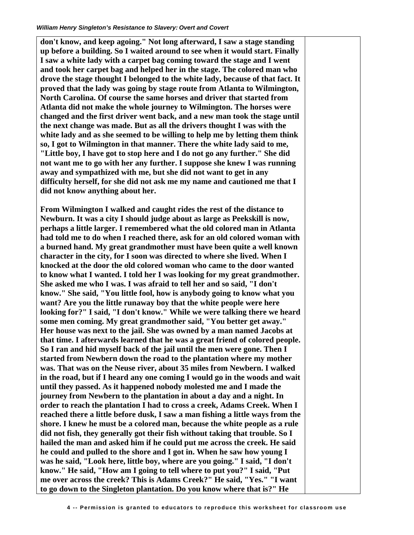**don't know, and keep agoing." Not long afterward, I saw a stage standing up before a building. So I waited around to see when it would start. Finally I saw a white lady with a carpet bag coming toward the stage and I went and took her carpet bag and helped her in the stage. The colored man who drove the stage thought I belonged to the white lady, because of that fact. It proved that the lady was going by stage route from Atlanta to Wilmington, North Carolina. Of course the same horses and driver that started from Atlanta did not make the whole journey to Wilmington. The horses were changed and the first driver went back, and a new man took the stage until the next change was made. But as all the drivers thought I was with the white lady and as she seemed to be willing to help me by letting them think so, I got to Wilmington in that manner. There the white lady said to me, "Little boy, I have got to stop here and I do not go any further." She did not want me to go with her any further. I suppose she knew I was running away and sympathized with me, but she did not want to get in any difficulty herself, for she did not ask me my name and cautioned me that I did not know anything about her.** 

**From Wilmington I walked and caught rides the rest of the distance to Newburn. It was a city I should judge about as large as Peekskill is now, perhaps a little larger. I remembered what the old colored man in Atlanta had told me to do when I reached there, ask for an old colored woman with a burned hand. My great grandmother must have been quite a well known character in the city, for I soon was directed to where she lived. When I knocked at the door the old colored woman who came to the door wanted to know what I wanted. I told her I was looking for my great grandmother. She asked me who I was. I was afraid to tell her and so said, "I don't know." She said, "You little fool, how is anybody going to know what you want? Are you the little runaway boy that the white people were here looking for?" I said, "I don't know." While we were talking there we heard some men coming. My great grandmother said, "You better get away." Her house was next to the jail. She was owned by a man named Jacobs at that time. I afterwards learned that he was a great friend of colored people. So I ran and hid myself back of the jail until the men were gone. Then I started from Newbern down the road to the plantation where my mother was. That was on the Neuse river, about 35 miles from Newbern. I walked in the road, but if I heard any one coming I would go in the woods and wait until they passed. As it happened nobody molested me and I made the journey from Newbern to the plantation in about a day and a night. In order to reach the plantation I had to cross a creek, Adams Creek. When I reached there a little before dusk, I saw a man fishing a little ways from the shore. I knew he must be a colored man, because the white people as a rule did not fish, they generally got their fish without taking that trouble. So I hailed the man and asked him if he could put me across the creek. He said he could and pulled to the shore and I got in. When he saw how young I was he said, "Look here, little boy, where are you going." I said, "I don't know." He said, "How am I going to tell where to put you?" I said, "Put me over across the creek? This is Adams Creek?" He said, "Yes." "I want to go down to the Singleton plantation. Do you know where that is?" He**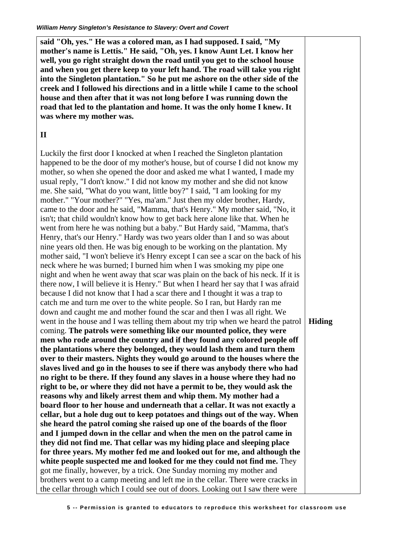**said "Oh, yes." He was a colored man, as I had supposed. I said, "My mother's name is Lettis." He said, "Oh, yes. I know Aunt Let. I know her well, you go right straight down the road until you get to the school house and when you get there keep to your left hand. The road will take you right into the Singleton plantation." So he put me ashore on the other side of the creek and I followed his directions and in a little while I came to the school house and then after that it was not long before I was running down the road that led to the plantation and home. It was the only home I knew. It was where my mother was.** 

### **II**

Luckily the first door I knocked at when I reached the Singleton plantation happened to be the door of my mother's house, but of course I did not know my mother, so when she opened the door and asked me what I wanted, I made my usual reply, "I don't know." I did not know my mother and she did not know me. She said, "What do you want, little boy?" I said, "I am looking for my mother." "Your mother?" "Yes, ma'am." Just then my older brother, Hardy, came to the door and he said, "Mamma, that's Henry." My mother said, "No, it isn't; that child wouldn't know how to get back here alone like that. When he went from here he was nothing but a baby." But Hardy said, "Mamma, that's Henry, that's our Henry." Hardy was two years older than I and so was about nine years old then. He was big enough to be working on the plantation. My mother said, "I won't believe it's Henry except I can see a scar on the back of his neck where he was burned; I burned him when I was smoking my pipe one night and when he went away that scar was plain on the back of his neck. If it is there now, I will believe it is Henry." But when I heard her say that I was afraid because I did not know that I had a scar there and I thought it was a trap to catch me and turn me over to the white people. So I ran, but Hardy ran me down and caught me and mother found the scar and then I was all right. We went in the house and I was telling them about my trip when we heard the patrol coming. **The patrols were something like our mounted police, they were men who rode around the country and if they found any colored people off the plantations where they belonged, they would lash them and turn them over to their masters. Nights they would go around to the houses where the slaves lived and go in the houses to see if there was anybody there who had no right to be there. If they found any slaves in a house where they had no right to be, or where they did not have a permit to be, they would ask the reasons why and likely arrest them and whip them. My mother had a board floor to her house and underneath that a cellar. It was not exactly a cellar, but a hole dug out to keep potatoes and things out of the way. When she heard the patrol coming she raised up one of the boards of the floor and I jumped down in the cellar and when the men on the patrol came in they did not find me. That cellar was my hiding place and sleeping place for three years. My mother fed me and looked out for me, and although the white people suspected me and looked for me they could not find me.** They got me finally, however, by a trick. One Sunday morning my mother and brothers went to a camp meeting and left me in the cellar. There were cracks in the cellar through which I could see out of doors. Looking out I saw there were **Hiding**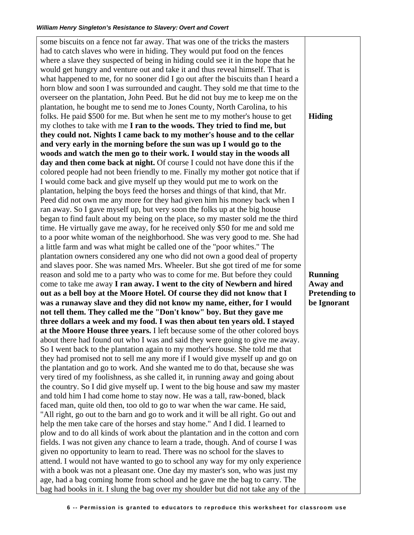some biscuits on a fence not far away. That was one of the tricks the masters had to catch slaves who were in hiding. They would put food on the fences where a slave they suspected of being in hiding could see it in the hope that he would get hungry and venture out and take it and thus reveal himself. That is what happened to me, for no sooner did I go out after the biscuits than I heard a horn blow and soon I was surrounded and caught. They sold me that time to the overseer on the plantation, John Peed. But he did not buy me to keep me on the plantation, he bought me to send me to Jones County, North Carolina, to his folks. He paid \$500 for me. But when he sent me to my mother's house to get my clothes to take with me **I ran to the woods. They tried to find me, but they could not. Nights I came back to my mother's house and to the cellar and very early in the morning before the sun was up I would go to the woods and watch the men go to their work. I would stay in the woods all day and then come back at night.** Of course I could not have done this if the colored people had not been friendly to me. Finally my mother got notice that if I would come back and give myself up they would put me to work on the plantation, helping the boys feed the horses and things of that kind, that Mr. Peed did not own me any more for they had given him his money back when I ran away. So I gave myself up, but very soon the folks up at the big house began to find fault about my being on the place, so my master sold me the third time. He virtually gave me away, for he received only \$50 for me and sold me to a poor white woman of the neighborhood. She was very good to me. She had a little farm and was what might be called one of the "poor whites." The plantation owners considered any one who did not own a good deal of property and slaves poor. She was named Mrs. Wheeler. But she got tired of me for some reason and sold me to a party who was to come for me. But before they could come to take me away **I ran away. I went to the city of Newbern and hired out as a bell boy at the Moore Hotel. Of course they did not know that I was a runaway slave and they did not know my name, either, for I would not tell them. They called me the "Don't know" boy. But they gave me three dollars a week and my food. I was then about ten years old. I stayed at the Moore House three years.** I left because some of the other colored boys about there had found out who I was and said they were going to give me away. So I went back to the plantation again to my mother's house. She told me that they had promised not to sell me any more if I would give myself up and go on the plantation and go to work. And she wanted me to do that, because she was very tired of my foolishness, as she called it, in running away and going about the country. So I did give myself up. I went to the big house and saw my master and told him I had come home to stay now. He was a tall, raw-boned, black faced man, quite old then, too old to go to war when the war came. He said, "All right, go out to the barn and go to work and it will be all right. Go out and help the men take care of the horses and stay home." And I did. I learned to plow and to do all kinds of work about the plantation and in the cotton and corn fields. I was not given any chance to learn a trade, though. And of course I was given no opportunity to learn to read. There was no school for the slaves to attend. I would not have wanted to go to school any way for my only experience with a book was not a pleasant one. One day my master's son, who was just my age, had a bag coming home from school and he gave me the bag to carry. The bag had books in it. I slung the bag over my shoulder but did not take any of the **Hiding Running Away and Pretending to be Ignorant**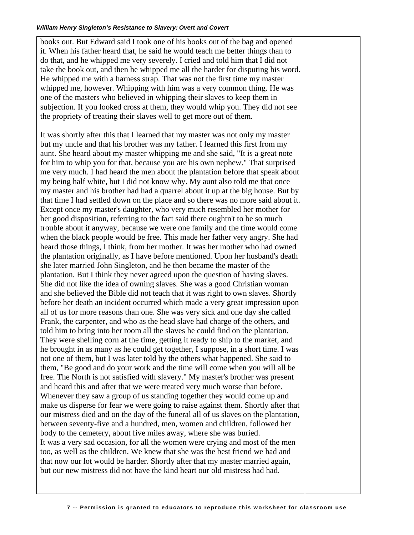books out. But Edward said I took one of his books out of the bag and opened it. When his father heard that, he said he would teach me better things than to do that, and he whipped me very severely. I cried and told him that I did not take the book out, and then he whipped me all the harder for disputing his word. He whipped me with a harness strap. That was not the first time my master whipped me, however. Whipping with him was a very common thing. He was one of the masters who believed in whipping their slaves to keep them in subjection. If you looked cross at them, they would whip you. They did not see the propriety of treating their slaves well to get more out of them.

It was shortly after this that I learned that my master was not only my master but my uncle and that his brother was my father. I learned this first from my aunt. She heard about my master whipping me and she said, "It is a great note for him to whip you for that, because you are his own nephew." That surprised me very much. I had heard the men about the plantation before that speak about my being half white, but I did not know why. My aunt also told me that once my master and his brother had had a quarrel about it up at the big house. But by that time I had settled down on the place and so there was no more said about it. Except once my master's daughter, who very much resembled her mother for her good disposition, referring to the fact said there oughtn't to be so much trouble about it anyway, because we were one family and the time would come when the black people would be free. This made her father very angry. She had heard those things, I think, from her mother. It was her mother who had owned the plantation originally, as I have before mentioned. Upon her husband's death she later married John Singleton, and he then became the master of the plantation. But I think they never agreed upon the question of having slaves. She did not like the idea of owning slaves. She was a good Christian woman and she believed the Bible did not teach that it was right to own slaves. Shortly before her death an incident occurred which made a very great impression upon all of us for more reasons than one. She was very sick and one day she called Frank, the carpenter, and who as the head slave had charge of the others, and told him to bring into her room all the slaves he could find on the plantation. They were shelling corn at the time, getting it ready to ship to the market, and he brought in as many as he could get together, I suppose, in a short time. I was not one of them, but I was later told by the others what happened. She said to them, "Be good and do your work and the time will come when you will all be free. The North is not satisfied with slavery." My master's brother was present and heard this and after that we were treated very much worse than before. Whenever they saw a group of us standing together they would come up and make us disperse for fear we were going to raise against them. Shortly after that our mistress died and on the day of the funeral all of us slaves on the plantation, between seventy-five and a hundred, men, women and children, followed her body to the cemetery, about five miles away, where she was buried. It was a very sad occasion, for all the women were crying and most of the men too, as well as the children. We knew that she was the best friend we had and that now our lot would be harder. Shortly after that my master married again, but our new mistress did not have the kind heart our old mistress had had.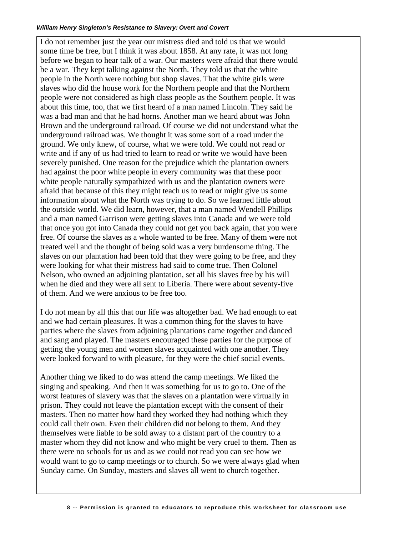I do not remember just the year our mistress died and told us that we would some time be free, but I think it was about 1858. At any rate, it was not long before we began to hear talk of a war. Our masters were afraid that there would be a war. They kept talking against the North. They told us that the white people in the North were nothing but shop slaves. That the white girls were slaves who did the house work for the Northern people and that the Northern people were not considered as high class people as the Southern people. It was about this time, too, that we first heard of a man named Lincoln. They said he was a bad man and that he had horns. Another man we heard about was John Brown and the underground railroad. Of course we did not understand what the underground railroad was. We thought it was some sort of a road under the ground. We only knew, of course, what we were told. We could not read or write and if any of us had tried to learn to read or write we would have been severely punished. One reason for the prejudice which the plantation owners had against the poor white people in every community was that these poor white people naturally sympathized with us and the plantation owners were afraid that because of this they might teach us to read or might give us some information about what the North was trying to do. So we learned little about the outside world. We did learn, however, that a man named Wendell Phillips and a man named Garrison were getting slaves into Canada and we were told that once you got into Canada they could not get you back again, that you were free. Of course the slaves as a whole wanted to be free. Many of them were not treated well and the thought of being sold was a very burdensome thing. The slaves on our plantation had been told that they were going to be free, and they were looking for what their mistress had said to come true. Then Colonel Nelson, who owned an adjoining plantation, set all his slaves free by his will when he died and they were all sent to Liberia. There were about seventy-five of them. And we were anxious to be free too.

I do not mean by all this that our life was altogether bad. We had enough to eat and we had certain pleasures. It was a common thing for the slaves to have parties where the slaves from adjoining plantations came together and danced and sang and played. The masters encouraged these parties for the purpose of getting the young men and women slaves acquainted with one another. They were looked forward to with pleasure, for they were the chief social events.

Another thing we liked to do was attend the camp meetings. We liked the singing and speaking. And then it was something for us to go to. One of the worst features of slavery was that the slaves on a plantation were virtually in prison. They could not leave the plantation except with the consent of their masters. Then no matter how hard they worked they had nothing which they could call their own. Even their children did not belong to them. And they themselves were liable to be sold away to a distant part of the country to a master whom they did not know and who might be very cruel to them. Then as there were no schools for us and as we could not read you can see how we would want to go to camp meetings or to church. So we were always glad when Sunday came. On Sunday, masters and slaves all went to church together.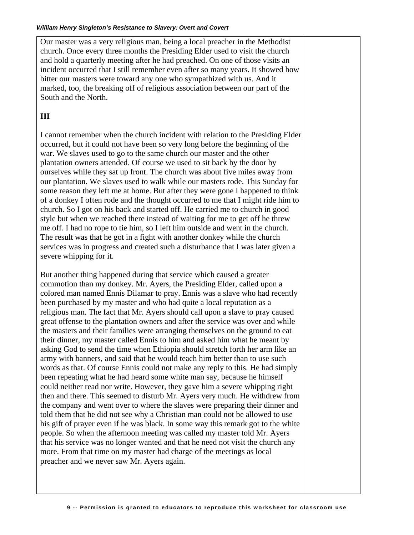Our master was a very religious man, being a local preacher in the Methodist church. Once every three months the Presiding Elder used to visit the church and hold a quarterly meeting after he had preached. On one of those visits an incident occurred that I still remember even after so many years. It showed how bitter our masters were toward any one who sympathized with us. And it marked, too, the breaking off of religious association between our part of the South and the North.

## **III**

I cannot remember when the church incident with relation to the Presiding Elder occurred, but it could not have been so very long before the beginning of the war. We slaves used to go to the same church our master and the other plantation owners attended. Of course we used to sit back by the door by ourselves while they sat up front. The church was about five miles away from our plantation. We slaves used to walk while our masters rode. This Sunday for some reason they left me at home. But after they were gone I happened to think of a donkey I often rode and the thought occurred to me that I might ride him to church. So I got on his back and started off. He carried me to church in good style but when we reached there instead of waiting for me to get off he threw me off. I had no rope to tie him, so I left him outside and went in the church. The result was that he got in a fight with another donkey while the church services was in progress and created such a disturbance that I was later given a severe whipping for it.

But another thing happened during that service which caused a greater commotion than my donkey. Mr. Ayers, the Presiding Elder, called upon a colored man named Ennis Dilamar to pray. Ennis was a slave who had recently been purchased by my master and who had quite a local reputation as a religious man. The fact that Mr. Ayers should call upon a slave to pray caused great offense to the plantation owners and after the service was over and while the masters and their families were arranging themselves on the ground to eat their dinner, my master called Ennis to him and asked him what he meant by asking God to send the time when Ethiopia should stretch forth her arm like an army with banners, and said that he would teach him better than to use such words as that. Of course Ennis could not make any reply to this. He had simply been repeating what he had heard some white man say, because he himself could neither read nor write. However, they gave him a severe whipping right then and there. This seemed to disturb Mr. Ayers very much. He withdrew from the company and went over to where the slaves were preparing their dinner and told them that he did not see why a Christian man could not be allowed to use his gift of prayer even if he was black. In some way this remark got to the white people. So when the afternoon meeting was called my master told Mr. Ayers that his service was no longer wanted and that he need not visit the church any more. From that time on my master had charge of the meetings as local preacher and we never saw Mr. Ayers again.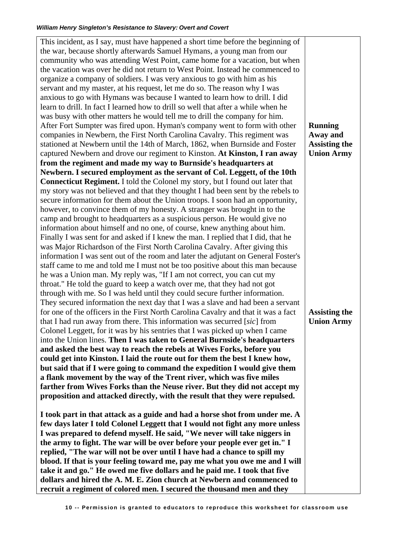| This incident, as I say, must have happened a short time before the beginning of     |                      |
|--------------------------------------------------------------------------------------|----------------------|
| the war, because shortly afterwards Samuel Hymans, a young man from our              |                      |
| community who was attending West Point, came home for a vacation, but when           |                      |
| the vacation was over he did not return to West Point. Instead he commenced to       |                      |
| organize a company of soldiers. I was very anxious to go with him as his             |                      |
| servant and my master, at his request, let me do so. The reason why I was            |                      |
| anxious to go with Hymans was because I wanted to learn how to drill. I did          |                      |
| learn to drill. In fact I learned how to drill so well that after a while when he    |                      |
| was busy with other matters he would tell me to drill the company for him.           |                      |
|                                                                                      |                      |
| After Fort Sumpter was fired upon. Hyman's company went to form with other           | <b>Running</b>       |
| companies in Newbern, the First North Carolina Cavalry. This regiment was            | Away and             |
| stationed at Newbern until the 14th of March, 1862, when Burnside and Foster         | <b>Assisting the</b> |
| captured Newbern and drove our regiment to Kinston. At Kinston, I ran away           | <b>Union Army</b>    |
| from the regiment and made my way to Burnside's headquarters at                      |                      |
| Newbern. I secured employment as the servant of Col. Leggett, of the 10th            |                      |
| <b>Connecticut Regiment.</b> I told the Colonel my story, but I found out later that |                      |
| my story was not believed and that they thought I had been sent by the rebels to     |                      |
| secure information for them about the Union troops. I soon had an opportunity,       |                      |
| however, to convince them of my honesty. A stranger was brought in to the            |                      |
| camp and brought to headquarters as a suspicious person. He would give no            |                      |
|                                                                                      |                      |
| information about himself and no one, of course, knew anything about him.            |                      |
| Finally I was sent for and asked if I knew the man. I replied that I did, that he    |                      |
| was Major Richardson of the First North Carolina Cavalry. After giving this          |                      |
| information I was sent out of the room and later the adjutant on General Foster's    |                      |
| staff came to me and told me I must not be too positive about this man because       |                      |
| he was a Union man. My reply was, "If I am not correct, you can cut my               |                      |
| throat." He told the guard to keep a watch over me, that they had not got            |                      |
| through with me. So I was held until they could secure further information.          |                      |
| They secured information the next day that I was a slave and had been a servant      |                      |
| for one of the officers in the First North Carolina Cavalry and that it was a fact   | <b>Assisting the</b> |
| that I had run away from there. This information was securred [sic] from             | <b>Union Army</b>    |
| Colonel Leggett, for it was by his sentries that I was picked up when I came         |                      |
|                                                                                      |                      |
| into the Union lines. Then I was taken to General Burnside's headquarters            |                      |
| and asked the best way to reach the rebels at Wives Forks, before you                |                      |
| could get into Kinston. I laid the route out for them the best I knew how,           |                      |
| but said that if I were going to command the expedition I would give them            |                      |
| a flank movement by the way of the Trent river, which was five miles                 |                      |
| farther from Wives Forks than the Neuse river. But they did not accept my            |                      |
| proposition and attacked directly, with the result that they were repulsed.          |                      |
|                                                                                      |                      |
| I took part in that attack as a guide and had a horse shot from under me. A          |                      |
| few days later I told Colonel Leggett that I would not fight any more unless         |                      |
| I was prepared to defend myself. He said, "We never will take niggers in             |                      |
| the army to fight. The war will be over before your people ever get in." I           |                      |
| replied, "The war will not be over until I have had a chance to spill my             |                      |
|                                                                                      |                      |
| blood. If that is your feeling toward me, pay me what you owe me and I will          |                      |
| take it and go." He owed me five dollars and he paid me. I took that five            |                      |
| dollars and hired the A. M. E. Zion church at Newbern and commenced to               |                      |
| recruit a regiment of colored men. I secured the thousand men and they               |                      |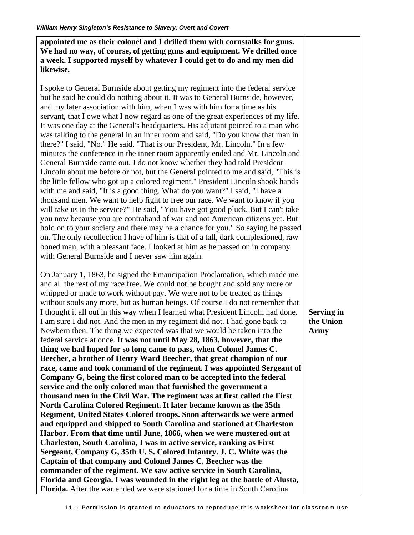**appointed me as their colonel and I drilled them with cornstalks for guns. We had no way, of course, of getting guns and equipment. We drilled once a week. I supported myself by whatever I could get to do and my men did likewise.** 

I spoke to General Burnside about getting my regiment into the federal service but he said he could do nothing about it. It was to General Burnside, however, and my later association with him, when I was with him for a time as his servant, that I owe what I now regard as one of the great experiences of my life. It was one day at the General's headquarters. His adjutant pointed to a man who was talking to the general in an inner room and said, "Do you know that man in there?" I said, "No." He said, "That is our President, Mr. Lincoln." In a few minutes the conference in the inner room apparently ended and Mr. Lincoln and General Burnside came out. I do not know whether they had told President Lincoln about me before or not, but the General pointed to me and said, "This is the little fellow who got up a colored regiment." President Lincoln shook hands with me and said, "It is a good thing. What do you want?" I said, "I have a thousand men. We want to help fight to free our race. We want to know if you will take us in the service?" He said, "You have got good pluck. But I can't take you now because you are contraband of war and not American citizens yet. But hold on to your society and there may be a chance for you." So saying he passed on. The only recollection I have of him is that of a tall, dark complexioned, raw boned man, with a pleasant face. I looked at him as he passed on in company with General Burnside and I never saw him again.

On January 1, 1863, he signed the Emancipation Proclamation, which made me and all the rest of my race free. We could not be bought and sold any more or whipped or made to work without pay. We were not to be treated as things without souls any more, but as human beings. Of course I do not remember that I thought it all out in this way when I learned what President Lincoln had done. I am sure I did not. And the men in my regiment did not. I had gone back to Newbern then. The thing we expected was that we would be taken into the federal service at once. **It was not until May 28, 1863, however, that the thing we had hoped for so long came to pass, when Colonel James C. Beecher, a brother of Henry Ward Beecher, that great champion of our race, came and took command of the regiment. I was appointed Sergeant of Company G, being the first colored man to be accepted into the federal service and the only colored man that furnished the government a thousand men in the Civil War. The regiment was at first called the First North Carolina Colored Regiment. It later became known as the 35th Regiment, United States Colored troops. Soon afterwards we were armed and equipped and shipped to South Carolina and stationed at Charleston Harbor. From that time until June, 1866, when we were mustered out at Charleston, South Carolina, I was in active service, ranking as First Sergeant, Company G, 35th U. S. Colored Infantry. J. C. White was the Captain of that company and Colonel James C. Beecher was the commander of the regiment. We saw active service in South Carolina, Florida and Georgia. I was wounded in the right leg at the battle of Alusta, Florida.** After the war ended we were stationed for a time in South Carolina

**Serving in the Union Army**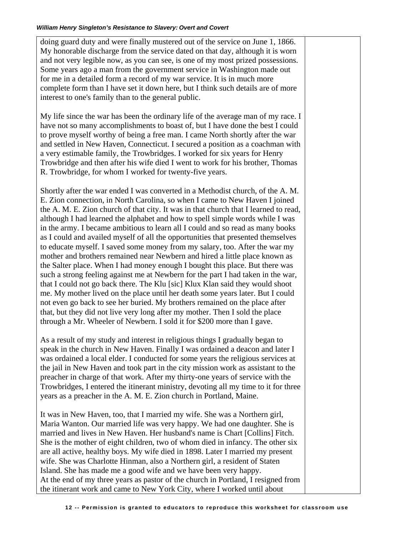doing guard duty and were finally mustered out of the service on June 1, 1866. My honorable discharge from the service dated on that day, although it is worn and not very legible now, as you can see, is one of my most prized possessions. Some years ago a man from the government service in Washington made out for me in a detailed form a record of my war service. It is in much more complete form than I have set it down here, but I think such details are of more interest to one's family than to the general public.

My life since the war has been the ordinary life of the average man of my race. I have not so many accomplishments to boast of, but I have done the best I could to prove myself worthy of being a free man. I came North shortly after the war and settled in New Haven, Connecticut. I secured a position as a coachman with a very estimable family, the Trowbridges. I worked for six years for Henry Trowbridge and then after his wife died I went to work for his brother, Thomas R. Trowbridge, for whom I worked for twenty-five years.

Shortly after the war ended I was converted in a Methodist church, of the A. M. E. Zion connection, in North Carolina, so when I came to New Haven I joined the A. M. E. Zion church of that city. It was in that church that I learned to read, although I had learned the alphabet and how to spell simple words while I was in the army. I became ambitious to learn all I could and so read as many books as I could and availed myself of all the opportunities that presented themselves to educate myself. I saved some money from my salary, too. After the war my mother and brothers remained near Newbern and hired a little place known as the Salter place. When I had money enough I bought this place. But there was such a strong feeling against me at Newbern for the part I had taken in the war, that I could not go back there. The Klu [sic] Klux Klan said they would shoot me. My mother lived on the place until her death some years later. But I could not even go back to see her buried. My brothers remained on the place after that, but they did not live very long after my mother. Then I sold the place through a Mr. Wheeler of Newbern. I sold it for \$200 more than I gave.

As a result of my study and interest in religious things I gradually began to speak in the church in New Haven. Finally I was ordained a deacon and later I was ordained a local elder. I conducted for some years the religious services at the jail in New Haven and took part in the city mission work as assistant to the preacher in charge of that work. After my thirty-one years of service with the Trowbridges, I entered the itinerant ministry, devoting all my time to it for three years as a preacher in the A. M. E. Zion church in Portland, Maine.

It was in New Haven, too, that I married my wife. She was a Northern girl, Maria Wanton. Our married life was very happy. We had one daughter. She is married and lives in New Haven. Her husband's name is Chart [Collins] Fitch. She is the mother of eight children, two of whom died in infancy. The other six are all active, healthy boys. My wife died in 1898. Later I married my present wife. She was Charlotte Hinman, also a Northern girl, a resident of Staten Island. She has made me a good wife and we have been very happy. At the end of my three years as pastor of the church in Portland, I resigned from the itinerant work and came to New York City, where I worked until about